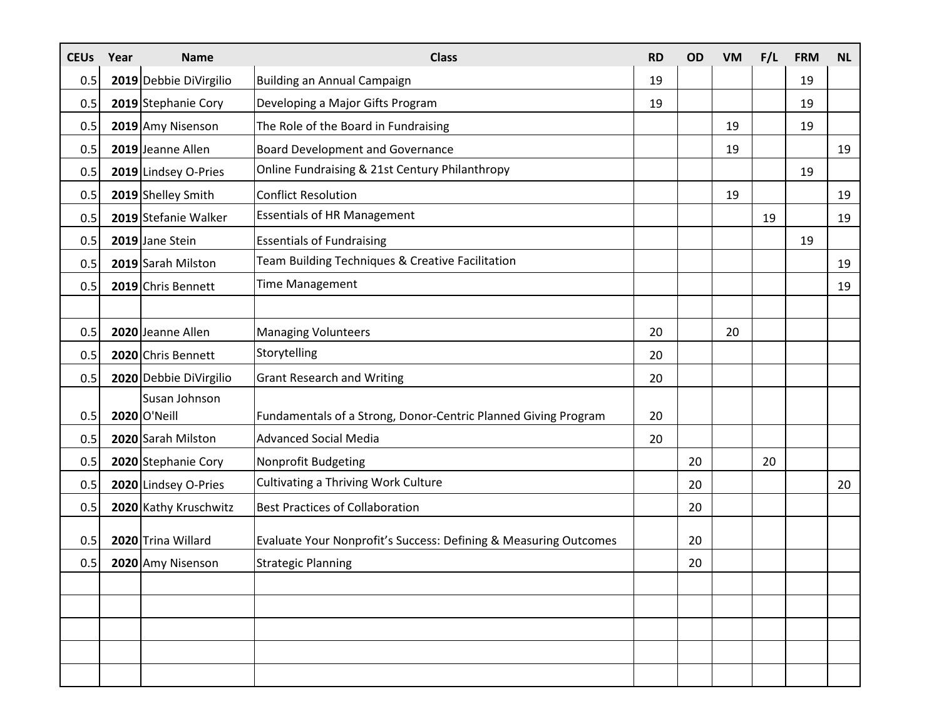| <b>CEUs</b> | Year | <b>Name</b>            | <b>Class</b>                                                     | <b>RD</b> | <b>OD</b> | <b>VM</b> | F/L | <b>FRM</b> | <b>NL</b> |
|-------------|------|------------------------|------------------------------------------------------------------|-----------|-----------|-----------|-----|------------|-----------|
| 0.5         |      | 2019 Debbie DiVirgilio | Building an Annual Campaign                                      | 19        |           |           |     | 19         |           |
| 0.5         |      | 2019 Stephanie Cory    | Developing a Major Gifts Program                                 | 19        |           |           |     | 19         |           |
| 0.5         |      | 2019 Amy Nisenson      | The Role of the Board in Fundraising                             |           |           | 19        |     | 19         |           |
| 0.5         |      | 2019 Jeanne Allen      | <b>Board Development and Governance</b>                          |           |           | 19        |     |            | 19        |
| 0.5         |      | 2019 Lindsey O-Pries   | Online Fundraising & 21st Century Philanthropy                   |           |           |           |     | 19         |           |
| 0.5         |      | 2019 Shelley Smith     | <b>Conflict Resolution</b>                                       |           |           | 19        |     |            | 19        |
| 0.5         |      | 2019 Stefanie Walker   | <b>Essentials of HR Management</b>                               |           |           |           | 19  |            | 19        |
| 0.5         |      | 2019 Jane Stein        | <b>Essentials of Fundraising</b>                                 |           |           |           |     | 19         |           |
| 0.5         |      | 2019 Sarah Milston     | Team Building Techniques & Creative Facilitation                 |           |           |           |     |            | 19        |
| 0.5         |      | 2019 Chris Bennett     | <b>Time Management</b>                                           |           |           |           |     |            | 19        |
|             |      |                        |                                                                  |           |           |           |     |            |           |
| 0.5         |      | 2020 Jeanne Allen      | <b>Managing Volunteers</b>                                       | 20        |           | 20        |     |            |           |
| 0.5         |      | 2020 Chris Bennett     | Storytelling                                                     | 20        |           |           |     |            |           |
| 0.5         |      | 2020 Debbie DiVirgilio | <b>Grant Research and Writing</b>                                | 20        |           |           |     |            |           |
|             |      | Susan Johnson          |                                                                  |           |           |           |     |            |           |
| 0.5         |      | 2020 O'Neill           | Fundamentals of a Strong, Donor-Centric Planned Giving Program   | 20        |           |           |     |            |           |
| 0.5         |      | 2020 Sarah Milston     | <b>Advanced Social Media</b>                                     | 20        |           |           |     |            |           |
| 0.5         |      | 2020 Stephanie Cory    | Nonprofit Budgeting                                              |           | 20        |           | 20  |            |           |
| 0.5         |      | 2020 Lindsey O-Pries   | <b>Cultivating a Thriving Work Culture</b>                       |           | 20        |           |     |            | 20        |
| 0.5         |      | 2020 Kathy Kruschwitz  | <b>Best Practices of Collaboration</b>                           |           | 20        |           |     |            |           |
| 0.5         |      | 2020 Trina Willard     | Evaluate Your Nonprofit's Success: Defining & Measuring Outcomes |           | 20        |           |     |            |           |
| 0.5         |      |                        | <b>Strategic Planning</b>                                        |           | 20        |           |     |            |           |
|             |      | 2020 Amy Nisenson      |                                                                  |           |           |           |     |            |           |
|             |      |                        |                                                                  |           |           |           |     |            |           |
|             |      |                        |                                                                  |           |           |           |     |            |           |
|             |      |                        |                                                                  |           |           |           |     |            |           |
|             |      |                        |                                                                  |           |           |           |     |            |           |
|             |      |                        |                                                                  |           |           |           |     |            |           |